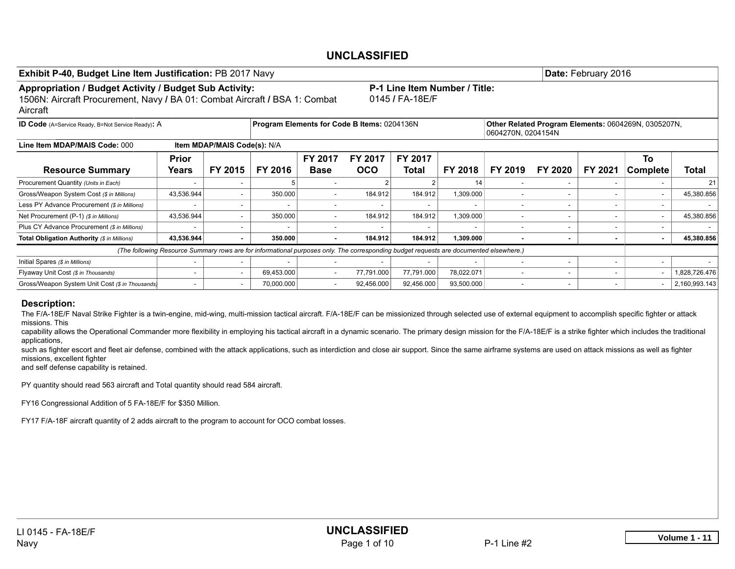| Exhibit P-40, Budget Line Item Justification: PB 2017 Navy                                                                                       |                                                                                                   |                |                                                                                                                                        |             |            |                                                  |            |                          |                          | Date: February 2016 |                                                     |               |  |  |  |
|--------------------------------------------------------------------------------------------------------------------------------------------------|---------------------------------------------------------------------------------------------------|----------------|----------------------------------------------------------------------------------------------------------------------------------------|-------------|------------|--------------------------------------------------|------------|--------------------------|--------------------------|---------------------|-----------------------------------------------------|---------------|--|--|--|
| Appropriation / Budget Activity / Budget Sub Activity:<br>1506N: Aircraft Procurement, Navy / BA 01: Combat Aircraft / BSA 1: Combat<br>Aircraft |                                                                                                   |                |                                                                                                                                        |             |            | P-1 Line Item Number / Title:<br>0145 / FA-18E/F |            |                          |                          |                     |                                                     |               |  |  |  |
| <b>ID Code</b> (A=Service Ready, B=Not Service Ready): A                                                                                         |                                                                                                   |                | Program Elements for Code B Items: 0204136N                                                                                            |             |            |                                                  |            | 0604270N, 0204154N       |                          |                     | Other Related Program Elements: 0604269N, 0305207N, |               |  |  |  |
| Line Item MDAP/MAIS Code: 000                                                                                                                    | <b>Item MDAP/MAIS Code(s): N/A</b><br>FY 2017<br><b>FY 2017</b><br><b>FY 2017</b><br><b>Prior</b> |                |                                                                                                                                        |             |            |                                                  |            |                          |                          |                     |                                                     |               |  |  |  |
| <b>Resource Summary</b>                                                                                                                          | Years                                                                                             | FY 2015        | FY 2016                                                                                                                                | <b>Base</b> | <b>OCO</b> | <b>Total</b>                                     | FY 2018    | FY 2019                  | FY 2020                  | FY 2021             | To<br>Complete                                      | <b>Total</b>  |  |  |  |
| Procurement Quantity (Units in Each)                                                                                                             |                                                                                                   |                |                                                                                                                                        |             |            |                                                  | 14         |                          |                          |                     |                                                     | 21            |  |  |  |
| Gross/Weapon System Cost (\$ in Millions)                                                                                                        | 43,536.944                                                                                        | ۰              | 350.000                                                                                                                                | ۰.          | 184.912    | 184.912                                          | 1,309.000  | $\overline{\phantom{a}}$ | $\sim$                   | $\sim$              |                                                     | 45,380.856    |  |  |  |
| Less PY Advance Procurement (\$ in Millions)                                                                                                     |                                                                                                   |                |                                                                                                                                        |             |            |                                                  |            |                          |                          |                     |                                                     |               |  |  |  |
| Net Procurement (P-1) (\$ in Millions)                                                                                                           | 43,536.944                                                                                        |                | 350.000                                                                                                                                |             | 184.912    | 184.912                                          | 1,309.000  |                          | $\overline{\phantom{a}}$ |                     |                                                     | 45,380.856    |  |  |  |
| Plus CY Advance Procurement (\$ in Millions)                                                                                                     |                                                                                                   |                |                                                                                                                                        |             |            |                                                  |            |                          |                          |                     |                                                     |               |  |  |  |
| Total Obligation Authority (\$ in Millions)                                                                                                      | 43,536.944                                                                                        | $\blacksquare$ | 350,000                                                                                                                                |             | 184.912    | 184.912                                          | 1,309.000  |                          |                          |                     |                                                     | 45,380.856    |  |  |  |
|                                                                                                                                                  |                                                                                                   |                | (The following Resource Summary rows are for informational purposes only. The corresponding budget requests are documented elsewhere.) |             |            |                                                  |            |                          |                          |                     |                                                     |               |  |  |  |
| Initial Spares (\$ in Millions)                                                                                                                  |                                                                                                   |                |                                                                                                                                        |             |            |                                                  |            |                          |                          |                     |                                                     |               |  |  |  |
| Flyaway Unit Cost (\$ in Thousands)                                                                                                              |                                                                                                   |                | 69,453.000                                                                                                                             |             | 77,791.000 | 77,791.000                                       | 78,022.071 |                          |                          |                     |                                                     | 1,828,726.476 |  |  |  |
| Gross/Weapon System Unit Cost (\$ in Thousands)                                                                                                  |                                                                                                   | ۰.             | 70.000.000                                                                                                                             | ۰.          | 92,456.000 | 92,456.000                                       | 93,500.000 |                          |                          |                     |                                                     | 2,160,993.143 |  |  |  |

#### Description:

The F/A-18E/F Naval Strike Fighter is a twin-engine, mid-wing, multi-mission tactical aircraft. F/A-18E/F can be missionized through selected use of external equipment to accomplish specific fighter or attack missions. This

capability allows the Operational Commander more flexibility in employing his tactical aircraft in a dynamic scenario. The primary design mission for the F/A-18E/F is a strike fighter which includes the traditional applications,

such as fighter escort and fleet air defense, combined with the attack applications, such as interdiction and close air support. Since the same airframe systems are used on attack missions as well as fighter missions, excellent fighter

and self defense capability is retained.

PY quantity should read 563 aircraft and Total quantity should read 584 aircraft.

FY16 Congressional Addition of 5 FA-18E/F for \$350 Million.

FY17 F/A-18F aircraft quantity of 2 adds aircraft to the program to account for OCO combat losses.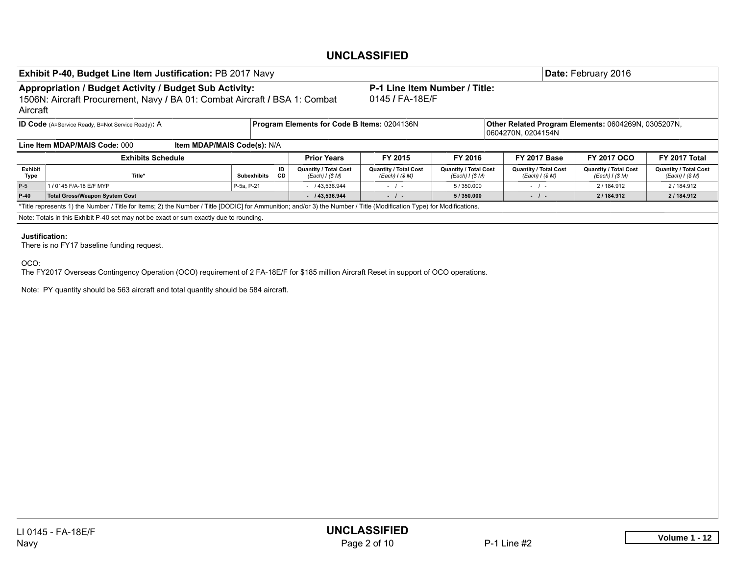|                 | Exhibit P-40, Budget Line Item Justification: PB 2017 Navy                                                                                                                                                                                                     |                             |          |                                                 |                                                  |                                                 |  |                                                                           | Date: February 2016                             |                                                |  |  |  |  |  |
|-----------------|----------------------------------------------------------------------------------------------------------------------------------------------------------------------------------------------------------------------------------------------------------------|-----------------------------|----------|-------------------------------------------------|--------------------------------------------------|-------------------------------------------------|--|---------------------------------------------------------------------------|-------------------------------------------------|------------------------------------------------|--|--|--|--|--|
| Aircraft        | Appropriation / Budget Activity / Budget Sub Activity:<br>1506N: Aircraft Procurement, Navy / BA 01: Combat Aircraft / BSA 1: Combat                                                                                                                           |                             |          |                                                 | P-1 Line Item Number / Title:<br>0145 / FA-18E/F |                                                 |  |                                                                           |                                                 |                                                |  |  |  |  |  |
|                 | <b>ID Code</b> (A=Service Ready, B=Not Service Ready): A                                                                                                                                                                                                       |                             |          | Program Elements for Code B Items: 0204136N     |                                                  |                                                 |  | Other Related Program Elements: 0604269N, 0305207N,<br>0604270N, 0204154N |                                                 |                                                |  |  |  |  |  |
|                 | Line Item MDAP/MAIS Code: 000                                                                                                                                                                                                                                  | Item MDAP/MAIS Code(s): N/A |          |                                                 |                                                  |                                                 |  |                                                                           |                                                 |                                                |  |  |  |  |  |
|                 | <b>Exhibits Schedule</b>                                                                                                                                                                                                                                       |                             |          | <b>Prior Years</b>                              | FY 2015                                          | FY 2016                                         |  | <b>FY 2017 Base</b>                                                       | FY 2017 OCO                                     | FY 2017 Total                                  |  |  |  |  |  |
| Exhibit<br>Type | Title*                                                                                                                                                                                                                                                         | <b>Subexhibits</b>          | ID<br>CD | <b>Quantity / Total Cost</b><br>(Each) I (\$ M) | <b>Quantity / Total Cost</b><br>(Each) I (S M)   | <b>Quantity / Total Cost</b><br>(Each) I (\$ M) |  | <b>Quantity / Total Cost</b><br>(Each) I (\$ M)                           | <b>Quantity / Total Cost</b><br>(Each) I (\$ M) | <b>Quantity / Total Cost</b><br>(Each) I (S M) |  |  |  |  |  |
| $P-5$           | 1 / 0145 F/A-18 E/F MYP                                                                                                                                                                                                                                        | P-5a, P-21                  |          | $-$ / 43,536.944                                | $-$                                              | 5/350.000                                       |  | $-$ / $-$                                                                 | 2/184.912                                       | 2/184.912                                      |  |  |  |  |  |
| $P-40$          | Total Gross/Weapon System Cost                                                                                                                                                                                                                                 |                             |          | /43,536.944                                     | $-1$                                             | 5/350.000                                       |  | $-1$                                                                      | 2/184.912                                       | 2/184.912                                      |  |  |  |  |  |
|                 | *Title represents 1) the Number / Title for Items; 2) the Number / Title [DODIC] for Ammunition; and/or 3) the Number / Title (Modification Type) for Modifications.<br>Note: Totals in this Exhibit P-40 set may not be exact or sum exactly due to rounding. |                             |          |                                                 |                                                  |                                                 |  |                                                                           |                                                 |                                                |  |  |  |  |  |
|                 | Justification:                                                                                                                                                                                                                                                 |                             |          |                                                 |                                                  |                                                 |  |                                                                           |                                                 |                                                |  |  |  |  |  |
| OCO:            | The FY2017 Overseas Contingency Operation (OCO) requirement of 2 FA-18E/F for \$185 million Aircraft Reset in support of OCO operations.<br>Note: PY quantity should be 563 aircraft and total quantity should be 584 aircraft.                                |                             |          |                                                 |                                                  |                                                 |  |                                                                           |                                                 |                                                |  |  |  |  |  |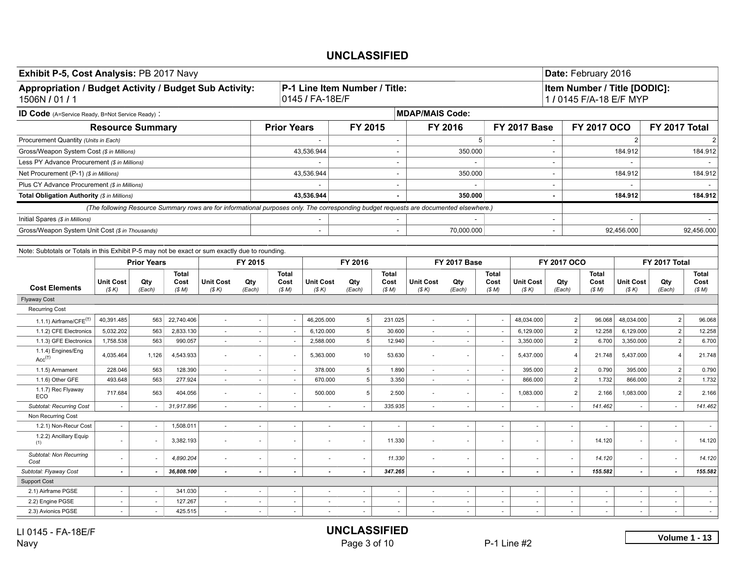| Exhibit P-5, Cost Analysis: PB 2017 Navy                                                       |                                                         |                    |                              |                           |                          |                              |                                                  |                          |                              |                                                                                                                                        |                             |                              |                           |                          | Date: February 2016          |                                                         |                          |                              |
|------------------------------------------------------------------------------------------------|---------------------------------------------------------|--------------------|------------------------------|---------------------------|--------------------------|------------------------------|--------------------------------------------------|--------------------------|------------------------------|----------------------------------------------------------------------------------------------------------------------------------------|-----------------------------|------------------------------|---------------------------|--------------------------|------------------------------|---------------------------------------------------------|--------------------------|------------------------------|
| Appropriation / Budget Activity / Budget Sub Activity:<br>1506N / 01 / 1                       |                                                         |                    |                              |                           |                          |                              | P-1 Line Item Number / Title:<br>0145 / FA-18E/F |                          |                              |                                                                                                                                        |                             |                              |                           |                          |                              | Item Number / Title [DODIC]:<br>1 / 0145 F/A-18 E/F MYP |                          |                              |
| <b>ID Code</b> (A=Service Ready, B=Not Service Ready) :                                        |                                                         |                    |                              |                           |                          |                              |                                                  |                          |                              | <b>MDAP/MAIS Code:</b>                                                                                                                 |                             |                              |                           |                          |                              |                                                         |                          |                              |
|                                                                                                | <b>Resource Summary</b>                                 |                    |                              |                           |                          | <b>Prior Years</b>           |                                                  | FY 2015                  |                              |                                                                                                                                        | FY 2016                     |                              | <b>FY 2017 Base</b>       |                          | FY 2017 OCO                  |                                                         | FY 2017 Total            |                              |
| Procurement Quantity (Units in Each)                                                           |                                                         |                    |                              |                           |                          |                              | $\sim$                                           |                          | $\overline{\phantom{a}}$     |                                                                                                                                        |                             | 5 <sup>5</sup>               |                           | $\sim$                   |                              | $\overline{2}$                                          |                          | 2                            |
| Gross/Weapon System Cost (\$ in Millions)                                                      |                                                         |                    |                              |                           |                          |                              | 43,536.944                                       |                          |                              |                                                                                                                                        | 350.000                     |                              |                           | $\sim$                   |                              | 184.912                                                 |                          | 184.912                      |
| Less PY Advance Procurement (\$ in Millions)                                                   |                                                         |                    |                              |                           |                          |                              |                                                  |                          |                              |                                                                                                                                        |                             |                              |                           | $\sim$                   |                              |                                                         |                          |                              |
| Net Procurement (P-1) (\$ in Millions)                                                         |                                                         |                    |                              |                           |                          |                              | 43,536.944                                       |                          | $\overline{\phantom{a}}$     |                                                                                                                                        | 350.000                     |                              |                           | $\sim$                   |                              | 184.912                                                 |                          | 184.912                      |
| Plus CY Advance Procurement (\$ in Millions)                                                   |                                                         |                    |                              |                           |                          |                              |                                                  |                          |                              |                                                                                                                                        |                             |                              |                           | $\sim$                   |                              |                                                         |                          |                              |
| Total Obligation Authority (\$ in Millions)                                                    |                                                         |                    |                              |                           |                          |                              | 43.536.944                                       |                          |                              |                                                                                                                                        | 350,000                     |                              |                           |                          |                              | 184.912                                                 |                          | 184.912                      |
|                                                                                                |                                                         |                    |                              |                           |                          |                              |                                                  |                          |                              | (The following Resource Summary rows are for informational purposes only. The corresponding budget requests are documented elsewhere.) |                             |                              |                           |                          |                              |                                                         |                          |                              |
| Initial Spares (\$ in Millions)                                                                |                                                         |                    |                              |                           |                          |                              | $\sim$                                           |                          |                              |                                                                                                                                        |                             |                              |                           | $\sim$                   |                              |                                                         |                          |                              |
| Gross/Weapon System Unit Cost (\$ in Thousands)                                                |                                                         |                    |                              |                           |                          |                              | $\sim$                                           |                          |                              |                                                                                                                                        | 70,000.000                  |                              |                           | $\sim$                   |                              | 92,456.000                                              |                          | 92.456.000                   |
|                                                                                                |                                                         |                    |                              |                           |                          |                              |                                                  |                          |                              |                                                                                                                                        |                             |                              |                           |                          |                              |                                                         |                          |                              |
| Note: Subtotals or Totals in this Exhibit P-5 may not be exact or sum exactly due to rounding. |                                                         |                    |                              |                           |                          |                              |                                                  |                          |                              |                                                                                                                                        |                             |                              |                           |                          |                              |                                                         |                          |                              |
|                                                                                                |                                                         | <b>Prior Years</b> |                              |                           | FY 2015                  |                              |                                                  | FY 2016                  |                              |                                                                                                                                        | <b>FY 2017 Base</b>         |                              |                           | <b>FY 2017 OCO</b>       |                              |                                                         | FY 2017 Total            |                              |
| <b>Cost Elements</b>                                                                           | <b>Unit Cost</b><br>(S K)                               | Qty<br>(Each)      | <b>Total</b><br>Cost<br>(SM) | <b>Unit Cost</b><br>(S K) | Qty<br>(Each)            | <b>Total</b><br>Cost<br>(SM) | <b>Unit Cost</b><br>(S K)                        | Qty<br>(Each)            | <b>Total</b><br>Cost<br>(SM) | <b>Unit Cost</b><br>(S K)                                                                                                              | Qty<br>(Each)               | <b>Total</b><br>Cost<br>(SM) | <b>Unit Cost</b><br>(S K) | Qty<br>(Each)            | <b>Total</b><br>Cost<br>(SM) | <b>Unit Cost</b><br>(S K)                               | Qty<br>(Each)            | <b>Total</b><br>Cost<br>(SM) |
| <b>Flyaway Cost</b>                                                                            |                                                         |                    |                              |                           |                          |                              |                                                  |                          |                              |                                                                                                                                        |                             |                              |                           |                          |                              |                                                         |                          |                              |
| <b>Recurring Cost</b>                                                                          |                                                         |                    |                              |                           |                          |                              |                                                  |                          |                              |                                                                                                                                        |                             |                              |                           |                          |                              |                                                         |                          |                              |
| 1.1.1) Airframe/CFE $(†)$                                                                      | 40,391.485                                              | 563                | 22,740.406                   | $\blacksquare$            |                          |                              | 46,205.000                                       | 5                        | 231.025                      | $\overline{\phantom{a}}$                                                                                                               |                             |                              | 48,034.000                | $\overline{2}$           | 96.068                       | 48,034.000                                              | $\overline{2}$           | 96.068                       |
| 1.1.2) CFE Electronics                                                                         | 5,032.202                                               | 563                | 2,833.130                    | $\omega$                  | $\omega$                 | $\sim$                       | 6,120.000                                        | 5 <sup>5</sup>           | 30.600                       | $\omega$                                                                                                                               | $\mathcal{L}_{\mathcal{A}}$ | $\sim$                       | 6,129.000                 | $\overline{2}$           | 12.258                       | 6,129.000                                               | $\overline{2}$           | 12.258                       |
| 1.1.3) GFE Electronics                                                                         | 1,758.538                                               | 563                | 990.057                      | $\sim$                    | $\overline{\phantom{a}}$ | $\sim$                       | 2,588.000                                        | 5                        | 12.940                       | $\sim$                                                                                                                                 | $\sim$                      | $\sim$                       | 3,350.000                 | $\overline{2}$           | 6.700                        | 3,350.000                                               | $\overline{2}$           | 6.700                        |
| 1.1.4) Engines/Eng<br>Acc <sup>(†)</sup>                                                       | 4,035.464                                               | 1,126              | 4,543.933                    | $\blacksquare$            |                          |                              | 5,363.000                                        | 10                       | 53.630                       | $\overline{\phantom{a}}$                                                                                                               |                             |                              | 5,437.000                 | $\overline{4}$           | 21.748                       | 5,437.000                                               | $\overline{4}$           | 21.748                       |
| 1.1.5) Armament                                                                                | 228.046                                                 | 563                | 128.390                      | $\sim$                    | $\sim$                   | $\sim$                       | 378.000                                          | 5 <sup>5</sup>           | 1.890                        | $\sim$                                                                                                                                 | $\sim$                      | $\overline{\phantom{a}}$     | 395.000                   | $\overline{2}$           | 0.790                        | 395.000                                                 | $\overline{2}$           | 0.790                        |
| 1.1.6) Other GFE                                                                               | 493.648                                                 | 563                | 277.924                      | $\omega$                  | $\sim$                   | $\sim$                       | 670,000                                          | 5                        | 3.350                        | $\sim$                                                                                                                                 | $\sim$                      | $\sim$                       | 866,000                   | $\overline{2}$           | 1.732                        | 866.000                                                 | 2                        | 1.732                        |
| 1.1.7) Rec Flyaway<br>ECO                                                                      | 717.684                                                 | 563                | 404.056                      | $\blacksquare$            | ÷,                       |                              | 500.000                                          | 5                        | 2.500                        | ÷.                                                                                                                                     | $\overline{\phantom{a}}$    |                              | 1,083.000                 | $\overline{2}$           | 2.166                        | 1,083.000                                               | $\overline{2}$           | 2.166                        |
| <b>Subtotal: Recurring Cost</b>                                                                | $\sim$                                                  | $\sim$             | 31,917.896                   | $\sim$                    | $\blacksquare$           | $\sim$                       | $\overline{\phantom{a}}$                         | $\sim$                   | 335.935                      | $\omega$                                                                                                                               | $\sim$                      | $\sim$                       | $\sim$                    | $\sim$                   | 141.462                      | $\overline{\phantom{a}}$                                | $\sim$                   | 141.462                      |
| Non Recurring Cost                                                                             |                                                         |                    |                              |                           |                          |                              |                                                  |                          |                              |                                                                                                                                        |                             |                              |                           |                          |                              |                                                         |                          |                              |
| 1.2.1) Non-Recur Cost<br>1.2.2) Ancillary Equip                                                | ÷.                                                      |                    | 1,508.011                    | $\omega$                  | ÷,                       | ×.                           |                                                  | ÷.                       |                              | $\bar{a}$                                                                                                                              | ×.                          | $\sim$                       |                           | ÷,                       |                              |                                                         | $\sim$                   |                              |
| (1)                                                                                            |                                                         |                    | 3,382.193                    | ×.                        | ٠                        |                              |                                                  | $\sim$                   | 11.330                       | ÷,                                                                                                                                     |                             |                              | $\sim$                    |                          | 14.120                       |                                                         | $\sim$                   | 14.120                       |
| Subtotal: Non Recurring<br>Cost                                                                |                                                         |                    | 4,890.204                    | $\omega$                  | $\overline{\phantom{a}}$ |                              |                                                  | $\overline{\phantom{a}}$ | 11.330                       | $\bar{\phantom{a}}$                                                                                                                    | $\overline{\phantom{a}}$    |                              | $\overline{\phantom{a}}$  |                          | 14.120                       |                                                         | $\sim$                   | 14.120                       |
| Subtotal: Flyaway Cost                                                                         | $\tilde{\phantom{a}}$                                   |                    | 36,808.100                   | $\blacksquare$            | $\overline{\phantom{a}}$ | $\overline{a}$               |                                                  |                          | 347.265                      | $\overline{\phantom{a}}$                                                                                                               | $\blacksquare$              |                              | $\tilde{\phantom{a}}$     |                          | 155.582                      |                                                         | $\blacksquare$           | 155.582                      |
| <b>Support Cost</b>                                                                            |                                                         |                    |                              |                           | $\omega$                 | $\sim$                       |                                                  |                          |                              |                                                                                                                                        |                             |                              |                           |                          |                              |                                                         |                          |                              |
| 2.1) Airframe PGSE                                                                             | 341.030<br>$\sim$<br>$\sim$<br>$\sim$                   |                    |                              |                           |                          |                              | $\sim$                                           | $\overline{\phantom{a}}$ | ÷,                           | $\overline{\phantom{a}}$                                                                                                               | $\omega$                    | $\sim$                       | $\sim$                    | ÷,                       | $\overline{\phantom{a}}$     | $\sim$                                                  | $\sim$                   |                              |
| 2.2) Engine PGSE                                                                               | 127.267<br>$\sim$<br>$\overline{\phantom{a}}$<br>$\sim$ |                    |                              |                           |                          | $\sim$                       | $\sim$                                           | $\overline{\phantom{a}}$ | $\overline{\phantom{a}}$     | $\overline{\phantom{a}}$                                                                                                               | $\sim$                      | $\sim$                       | $\overline{\phantom{a}}$  | $\overline{\phantom{a}}$ | $\overline{\phantom{a}}$     |                                                         | $\overline{\phantom{a}}$ | $\sim$                       |
| 2.3) Avionics PGSE                                                                             | $\sim$                                                  | $\sim$             | 425.515                      | $\omega$                  | $\omega$                 | $\sim$                       | $\sim$                                           | $\sim$                   | $\sim$                       | $\omega$                                                                                                                               | $\omega$                    | $\sim$                       | $\sim$                    | ÷.                       | $\omega$                     | $\overline{\phantom{a}}$                                | $\sim$                   | $\sim$                       |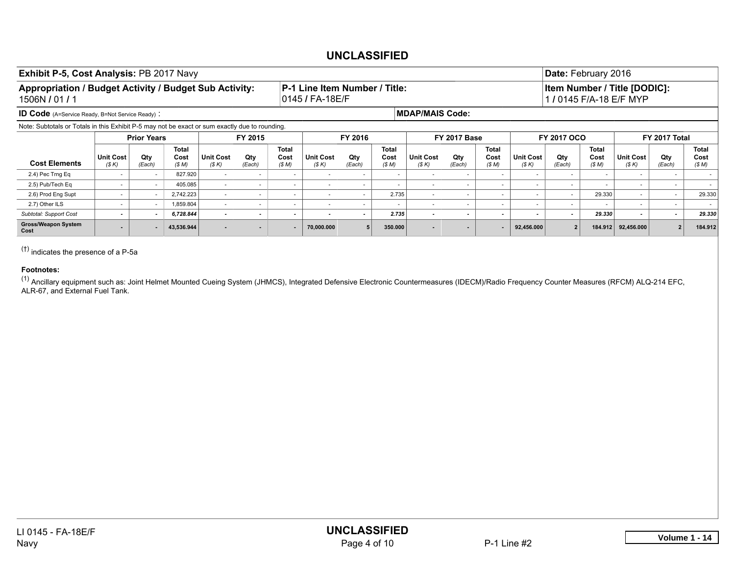#### Exhibit P-5, Cost Analysis: PB 2017 Navy Date: February 2016 Appropriation / Budget Activity / Budget Sub Activity: 1506N / 01 / 1 P-1 Line Item Number / Title: 0145 / FA-18E/F Item Number / Title [DODIC]: 1 / 0145 F/A-18 E/F MYP ID Code (A=Service Ready, B=Not Service Ready) : **MDAP/MAIS Code:** MDAP/MAIS Code: Note: Subtotals or Totals in this Exhibit P-5 may not be exact or sum exactly due to rounding. Prior Years | FY 2015 | FY 2016 | FY 2017 Base | FY 2017 OCO | FY 2017 Total Cost Elements Unit Cost *(\$ K)* Qty *(Each)* Total Cost *(\$ M)* Unit Cost *(\$ K)* Qty *(Each)* Total Cost *(\$ M)* Unit Cost *(\$ K)* Qty *(Each)* Total Cost *(\$ M)* Unit Cost *(\$ K)* Qty *(Each)* Total Cost *(\$ M)* Unit Cost *(\$ K)* Qty *(Each)* Total Cost *(\$ M)* Unit Cost *(\$ K)* Qty *(Each)* Total Cost *(\$ M)* 2.4) Pec Trng Eq - - 827.920 - - - - - - - - - - - - - - - 2.5) Pub/Tech Eq - - 405.085 - - - - - - - - - - - - - - - 2.6) Prod Eng Supt | - | - | 2,742.223 | - | - | - | - | - | - - - | 29.330 - | - | 29.330 2.7) Other ILS - - 1,859.804 - - - - - - - - - - - - - - - *Subtotal: Support Cost - - 6,728.844 - - - - - 2.735 - - - - - 29.330 - - 29.330* Gross/Weapon System Cost - - 43,536.944 - - - 70,000.000 <sup>5</sup> 350.000 - - - 92,456.000 <sup>2</sup> 184.912 92,456.000 <sup>2</sup> 184.912

(†) indicates the presence of a P-5a

#### Footnotes:

<sup>(1)</sup> Ancillary equipment such as: Joint Helmet Mounted Cueing System (JHMCS), Integrated Defensive Electronic Countermeasures (IDECM)/Radio Frequency Counter Measures (RFCM) ALQ-214 EFC, ALR-67, and External Fuel Tank.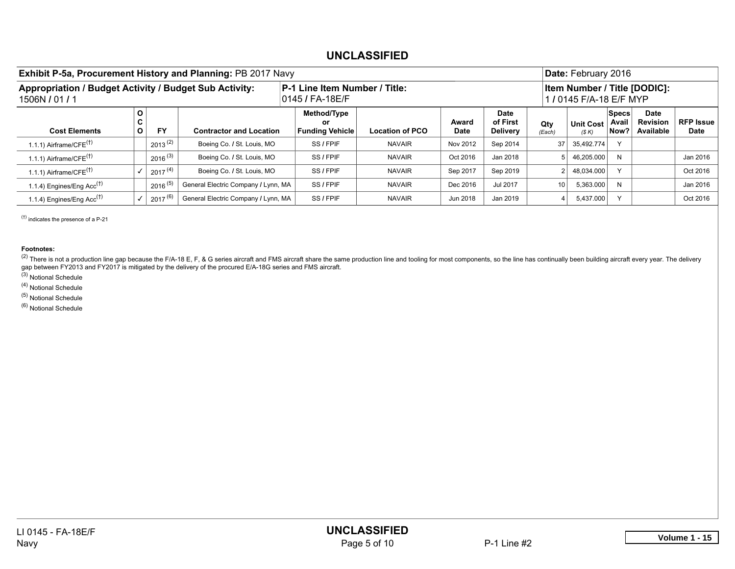| Exhibit P-5a, Procurement History and Planning: PB 2017 Navy             |             |                     |                                     |                                                  |                        |               |                              |                 | Date: February 2016       |                               |                                             |                                 |
|--------------------------------------------------------------------------|-------------|---------------------|-------------------------------------|--------------------------------------------------|------------------------|---------------|------------------------------|-----------------|---------------------------|-------------------------------|---------------------------------------------|---------------------------------|
| Appropriation / Budget Activity / Budget Sub Activity:<br>1506N / 01 / 1 |             |                     |                                     | P-1 Line Item Number / Title:<br>0145 / FA-18E/F |                        |               |                              |                 | 1 / 0145 F/A-18 E/F MYP   |                               | <b>Item Number / Title [DODIC]:</b>         |                                 |
| <b>Cost Elements</b>                                                     | Ο<br>C<br>О | <b>FY</b>           | <b>Contractor and Location</b>      | Method/Type<br>or<br><b>Funding Vehicle</b>      | <b>Location of PCO</b> | Award<br>Date | Date<br>of First<br>Delivery | Qty<br>(Each)   | <b>Unit Cost</b><br>(S K) | <b>Specs</b><br>Avail<br>Now? | <b>Date</b><br><b>Revision</b><br>Available | <b>RFP Issue</b><br><b>Date</b> |
| 1.1.1) Airframe/ $CFE^{(1)}$                                             |             | $2013^{(2)}$        | Boeing Co. / St. Louis, MO          | SS / FPIF                                        | <b>NAVAIR</b>          | Nov 2012      | Sep 2014                     | 37 <sup>1</sup> | 35,492.774                |                               |                                             |                                 |
| 1.1.1) Airframe/ $CFE^{(1)}$                                             |             | $2016^{(3)}$        | Boeing Co. / St. Louis, MO          | SS / FPIF                                        | <b>NAVAIR</b>          | Oct 2016      | Jan 2018                     |                 | 46,205.000                | N                             |                                             | Jan 2016                        |
| 1.1.1) Airframe/ $CFE(†)$                                                |             | 2017 <sup>(4)</sup> | Boeing Co. / St. Louis, MO          | SS / FPIF                                        | <b>NAVAIR</b>          | Sep 2017      | Sep 2019                     |                 | 48,034.000                | $\sqrt{}$                     |                                             | Oct 2016                        |
| 1.1.4) Engines/Eng Acc <sup>(†)</sup>                                    |             | $2016^{(5)}$        | General Electric Company / Lynn, MA | SS / FPIF                                        | <b>NAVAIR</b>          | Dec 2016      | Jul 2017                     | 10 <sup>1</sup> | 5,363.000                 | N                             |                                             | Jan 2016                        |
| 1.1.4) Engines/Eng $Acc(†)$                                              |             | $2017^{(6)}$        | General Electric Company / Lynn, MA | SS / FPIF                                        | <b>NAVAIR</b>          | Jun 2018      | Jan 2019                     |                 | 5,437.000                 |                               |                                             | Oct 2016                        |

(†) indicates the presence of a P-21

Footnotes:

<sup>(2)</sup> There is not a production line gap because the F/A-18 E, F, & G series aircraft and FMS aircraft share the same production line and tooling for most components, so the line has continually been building aircraft ever gap between FY2013 and FY2017 is mitigated by the delivery of the procured E/A-18G series and FMS aircraft.

(3) Notional Schedule

(4) Notional Schedule

(5) Notional Schedule

(6) Notional Schedule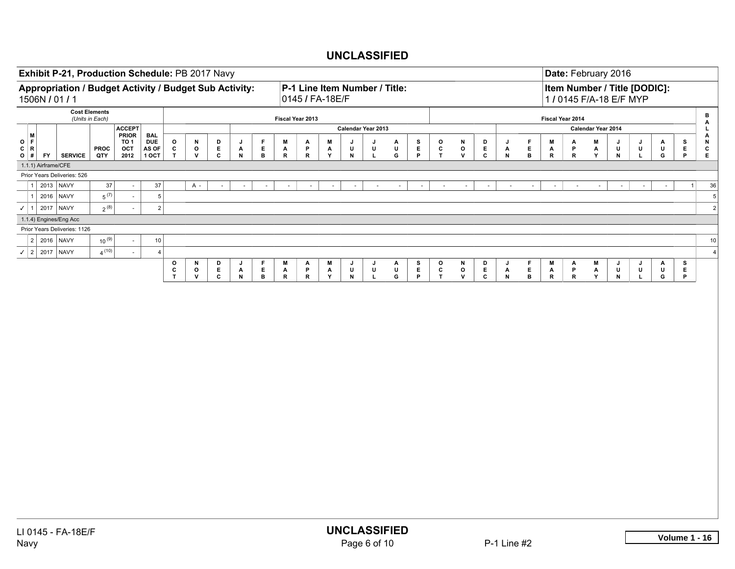| Exhibit P-21, Production Schedule: PB 2017 Navy                          |                                                                                                                    |                                                                                                                                                                                                                                                                  |                                        |                                   |                    |                   |             |                   |                             |                          |                  |             |                                                  |                    |             |        |                  |                  |                             |               |              |                                 |                             |                             |                                 |                  |        |                    | Date: February 2016                                     |             |        |                  |                                         |
|--------------------------------------------------------------------------|--------------------------------------------------------------------------------------------------------------------|------------------------------------------------------------------------------------------------------------------------------------------------------------------------------------------------------------------------------------------------------------------|----------------------------------------|-----------------------------------|--------------------|-------------------|-------------|-------------------|-----------------------------|--------------------------|------------------|-------------|--------------------------------------------------|--------------------|-------------|--------|------------------|------------------|-----------------------------|---------------|--------------|---------------------------------|-----------------------------|-----------------------------|---------------------------------|------------------|--------|--------------------|---------------------------------------------------------|-------------|--------|------------------|-----------------------------------------|
| Appropriation / Budget Activity / Budget Sub Activity:<br>1506N / 01 / 1 |                                                                                                                    |                                                                                                                                                                                                                                                                  |                                        |                                   |                    |                   |             |                   |                             |                          |                  |             | P-1 Line Item Number / Title:<br>0145 / FA-18E/F |                    |             |        |                  |                  |                             |               |              |                                 |                             |                             |                                 |                  |        |                    | Item Number / Title [DODIC]:<br>1 / 0145 F/A-18 E/F MYP |             |        |                  |                                         |
|                                                                          |                                                                                                                    | <b>Cost Elements</b><br>(Units in Each)                                                                                                                                                                                                                          |                                        |                                   |                    |                   |             |                   |                             |                          | Fiscal Year 2013 |             |                                                  |                    |             |        |                  |                  |                             |               |              |                                 |                             |                             |                                 | Fiscal Year 2014 |        |                    |                                                         |             |        |                  | $\mathbf B$<br>$\blacktriangle$         |
|                                                                          |                                                                                                                    |                                                                                                                                                                                                                                                                  | <b>ACCEPT</b>                          |                                   |                    |                   |             |                   |                             |                          |                  |             |                                                  | Calendar Year 2013 |             |        |                  |                  |                             |               |              |                                 |                             |                             |                                 |                  |        | Calendar Year 2014 |                                                         |             |        |                  | $\mathbf L$                             |
| $\circ$ $\vert$ <sup>M</sup><br>C   R                                    |                                                                                                                    | <b>PROC</b>                                                                                                                                                                                                                                                      | <b>PRIOR</b><br>TO <sub>1</sub><br>OCT | <b>BAL</b><br><b>DUE</b><br>AS OF | $_{\rm c}^{\rm o}$ | N<br>$\mathbf{o}$ | D<br>E.     | J<br>$\mathbf{A}$ | F                           | $\mathsf E$              | М<br>A           | Α<br>P      | M<br>Α                                           | J<br>U             | J<br>U      |        | А<br>U           | s<br>$\mathsf E$ | $\mathbf{o}$<br>$\mathbf c$ | $\mathbf{o}$  | N            | $\mathsf{P}_{\mathsf{E}}$       | J<br>A                      | F<br>E.                     | M<br>$\blacktriangle$           | Α<br>P           |        | M<br>A             | J<br>U                                                  | J<br>U      | A<br>U | s<br>$\mathsf E$ | $\overset{\mathsf{A}}{\mathsf{N}}$<br>c |
| <b>FY</b><br>$O$ #<br>1.1.1) Airframe/CFE                                | <b>SERVICE</b>                                                                                                     | QTY                                                                                                                                                                                                                                                              | 2012                                   | 1 OCT                             | $\mathbf{T}$       | v                 | $\mathbf c$ | ${\sf N}$         |                             | $\mathbf{B}$             | ${\mathbf R}$    | $\mathbf R$ | Y                                                | $\,$ N             | $\mathbf L$ |        | G                | P                | $\mathsf T$                 |               | $\mathsf{v}$ | $\mathbf{c}$                    | ${\sf N}$                   | В                           | $\mathsf R$                     | $\mathsf R$      |        | Y                  | $\,$ N                                                  | $\mathsf L$ | G      | $\mathsf P$      | $\mathsf E$                             |
| Prior Years Deliveries: 526                                              |                                                                                                                    |                                                                                                                                                                                                                                                                  |                                        |                                   |                    |                   |             |                   |                             |                          |                  |             |                                                  |                    |             |        |                  |                  |                             |               |              |                                 |                             |                             |                                 |                  |        |                    |                                                         |             |        |                  |                                         |
| 2013 NAVY<br>1 <sup>1</sup>                                              |                                                                                                                    | $37\,$                                                                                                                                                                                                                                                           |                                        | $37\,$                            |                    | A -               | $\sim$      |                   | $\mathcal{L}_{\mathcal{A}}$ | $\overline{\phantom{a}}$ | $\sim$           | $\sim$      | $\sim$                                           | $\sim$             |             | $\sim$ | $\sim$           | $\omega$         | $\sim$                      |               | $\omega$     | $\sim$                          | $\mathcal{L}_{\mathcal{A}}$ | $\mathcal{L}_{\mathcal{A}}$ | $\sim$                          |                  | $\sim$ | $\sim$             | $\mathcal{L}_{\mathcal{A}}$                             | $\omega$    | $\sim$ | $\mathbf{1}$     | 36                                      |
| 2016 NAVY<br>$1 \vert$                                                   |                                                                                                                    | $\frac{1}{5}$ (7)                                                                                                                                                                                                                                                | $\sim$                                 | $\sqrt{5}$                        |                    |                   |             |                   |                             |                          |                  |             |                                                  |                    |             |        |                  |                  |                             |               |              |                                 |                             |                             |                                 |                  |        |                    |                                                         |             |        |                  | $5\phantom{a}$                          |
| $\checkmark$ 1 2017 NAVY                                                 |                                                                                                                    | $2^{(8)}$                                                                                                                                                                                                                                                        |                                        | 2                                 |                    |                   |             |                   |                             |                          |                  |             |                                                  |                    |             |        |                  |                  |                             |               |              |                                 |                             |                             |                                 |                  |        |                    |                                                         |             |        |                  | $\sqrt{2}$                              |
| 1.1.4) Engines/Eng Acc                                                   |                                                                                                                    |                                                                                                                                                                                                                                                                  |                                        |                                   |                    |                   |             |                   |                             |                          |                  |             |                                                  |                    |             |        |                  |                  |                             |               |              |                                 |                             |                             |                                 |                  |        |                    |                                                         |             |        |                  |                                         |
|                                                                          | Prior Years Deliveries: 1126<br>$10^{(9)}$<br>2 2016 NAVY<br>10                                                    |                                                                                                                                                                                                                                                                  |                                        |                                   |                    |                   |             |                   |                             |                          |                  |             |                                                  |                    |             |        |                  |                  |                             |               |              |                                 |                             |                             |                                 |                  |        |                    |                                                         |             |        |                  |                                         |
|                                                                          | $4^{(10)}$<br>$\overline{4}$<br>$\sim$                                                                             |                                                                                                                                                                                                                                                                  |                                        |                                   |                    |                   |             |                   |                             |                          |                  |             |                                                  |                    |             |        |                  |                  |                             |               |              |                                 |                             |                             |                                 | 10               |        |                    |                                                         |             |        |                  |                                         |
|                                                                          | $\checkmark$ 2 2017 NAVY<br>F<br>o<br>N<br>D<br>М<br>Α<br>M<br>J<br>$\mathbf{A}$<br>$\circ$<br>N<br>D<br>J<br>J    |                                                                                                                                                                                                                                                                  |                                        |                                   |                    |                   |             |                   |                             |                          |                  |             |                                                  |                    |             |        |                  |                  |                             |               |              |                                 |                             |                             |                                 | $\overline{4}$   |        |                    |                                                         |             |        |                  |                                         |
|                                                                          | E<br>$\mathsf E$<br>$\mathsf E$<br>$\sf U$<br>U<br>$\mathbf c$<br>$\mathsf E$<br>C<br>$\mathsf{o}$<br>$\mathbf{o}$ |                                                                                                                                                                                                                                                                  |                                        |                                   |                    |                   |             |                   |                             |                          |                  |             |                                                  |                    |             | J      | F<br>$\mathsf E$ | M                | Α                           |               | M            | J<br>U                          | J                           | Α<br>$\sf U$                | $\frac{\mathsf{S}}{\mathsf{E}}$ |                  |        |                    |                                                         |             |        |                  |                                         |
|                                                                          |                                                                                                                    | $\frac{P}{R}$<br>$\mathbf{A}$<br>N<br>$\mathsf{R}$<br>$\frac{\mathsf{A}}{\mathsf{Y}}$<br>$_\mathrm{L}^\mathrm{U}$<br>$\mathsf{A}$<br>N<br>$\mathbf{c}$<br>$\mathbf{T}$<br>${\mathsf v}$<br>$\mathbf c$<br>$\mathbf{B}$<br>$\,$ N<br>G<br>P<br>T<br>${\mathsf v}$ |                                        |                                   |                    |                   |             |                   |                             |                          |                  |             |                                                  |                    |             |        |                  | B                | $\mathsf{R}$                | $\frac{P}{R}$ |              | $\frac{\mathsf{A}}{\mathsf{Y}}$ | $\,$ N $\,$                 | L                           | G                               | P                |        |                    |                                                         |             |        |                  |                                         |
|                                                                          |                                                                                                                    |                                                                                                                                                                                                                                                                  |                                        |                                   |                    |                   |             |                   |                             |                          |                  |             |                                                  |                    |             |        |                  |                  |                             |               |              |                                 |                             |                             |                                 |                  |        |                    |                                                         |             |        |                  |                                         |
|                                                                          |                                                                                                                    |                                                                                                                                                                                                                                                                  |                                        |                                   |                    |                   |             |                   |                             |                          |                  |             |                                                  |                    |             |        |                  |                  |                             |               |              |                                 |                             |                             |                                 |                  |        |                    |                                                         |             |        |                  |                                         |
|                                                                          |                                                                                                                    |                                                                                                                                                                                                                                                                  |                                        |                                   |                    |                   |             |                   |                             |                          |                  |             |                                                  |                    |             |        |                  |                  |                             |               |              |                                 |                             |                             |                                 |                  |        |                    |                                                         |             |        |                  |                                         |
|                                                                          |                                                                                                                    |                                                                                                                                                                                                                                                                  |                                        |                                   |                    |                   |             |                   |                             |                          |                  |             |                                                  |                    |             |        |                  |                  |                             |               |              |                                 |                             |                             |                                 |                  |        |                    |                                                         |             |        |                  |                                         |
|                                                                          |                                                                                                                    |                                                                                                                                                                                                                                                                  |                                        |                                   |                    |                   |             |                   |                             |                          |                  |             |                                                  |                    |             |        |                  |                  |                             |               |              |                                 |                             |                             |                                 |                  |        |                    |                                                         |             |        |                  |                                         |
|                                                                          |                                                                                                                    |                                                                                                                                                                                                                                                                  |                                        |                                   |                    |                   |             |                   |                             |                          |                  |             |                                                  |                    |             |        |                  |                  |                             |               |              |                                 |                             |                             |                                 |                  |        |                    |                                                         |             |        |                  |                                         |
|                                                                          |                                                                                                                    |                                                                                                                                                                                                                                                                  |                                        |                                   |                    |                   |             |                   |                             |                          |                  |             |                                                  |                    |             |        |                  |                  |                             |               |              |                                 |                             |                             |                                 |                  |        |                    |                                                         |             |        |                  |                                         |
|                                                                          |                                                                                                                    |                                                                                                                                                                                                                                                                  |                                        |                                   |                    |                   |             |                   |                             |                          |                  |             |                                                  |                    |             |        |                  |                  |                             |               |              |                                 |                             |                             |                                 |                  |        |                    |                                                         |             |        |                  |                                         |
|                                                                          |                                                                                                                    |                                                                                                                                                                                                                                                                  |                                        |                                   |                    |                   |             |                   |                             |                          |                  |             |                                                  |                    |             |        |                  |                  |                             |               |              |                                 |                             |                             |                                 |                  |        |                    |                                                         |             |        |                  |                                         |
|                                                                          |                                                                                                                    |                                                                                                                                                                                                                                                                  |                                        |                                   |                    |                   |             |                   |                             |                          |                  |             |                                                  |                    |             |        |                  |                  |                             |               |              |                                 |                             |                             |                                 |                  |        |                    |                                                         |             |        |                  |                                         |
|                                                                          |                                                                                                                    |                                                                                                                                                                                                                                                                  |                                        |                                   |                    |                   |             |                   |                             |                          |                  |             |                                                  |                    |             |        |                  |                  |                             |               |              |                                 |                             |                             |                                 |                  |        |                    |                                                         |             |        |                  |                                         |
|                                                                          |                                                                                                                    |                                                                                                                                                                                                                                                                  |                                        |                                   |                    |                   |             |                   |                             |                          |                  |             |                                                  |                    |             |        |                  |                  |                             |               |              |                                 |                             |                             |                                 |                  |        |                    |                                                         |             |        |                  |                                         |
|                                                                          |                                                                                                                    |                                                                                                                                                                                                                                                                  |                                        |                                   |                    |                   |             |                   |                             |                          |                  |             |                                                  |                    |             |        |                  |                  |                             |               |              |                                 |                             |                             |                                 |                  |        |                    |                                                         |             |        |                  |                                         |
|                                                                          |                                                                                                                    |                                                                                                                                                                                                                                                                  |                                        |                                   |                    |                   |             |                   |                             |                          |                  |             |                                                  |                    |             |        |                  |                  |                             |               |              |                                 |                             |                             |                                 |                  |        |                    |                                                         |             |        |                  |                                         |
|                                                                          |                                                                                                                    |                                                                                                                                                                                                                                                                  |                                        |                                   |                    |                   |             |                   |                             |                          |                  |             |                                                  |                    |             |        |                  |                  |                             |               |              |                                 |                             |                             |                                 |                  |        |                    |                                                         |             |        |                  |                                         |
|                                                                          |                                                                                                                    |                                                                                                                                                                                                                                                                  |                                        |                                   |                    |                   |             |                   |                             |                          |                  |             |                                                  |                    |             |        |                  |                  |                             |               |              |                                 |                             |                             |                                 |                  |        |                    |                                                         |             |        |                  |                                         |
|                                                                          |                                                                                                                    |                                                                                                                                                                                                                                                                  |                                        |                                   |                    |                   |             |                   |                             |                          |                  |             |                                                  |                    |             |        |                  |                  |                             |               |              |                                 |                             |                             |                                 |                  |        |                    |                                                         |             |        |                  |                                         |
|                                                                          |                                                                                                                    |                                                                                                                                                                                                                                                                  |                                        |                                   |                    |                   |             |                   |                             |                          |                  |             |                                                  |                    |             |        |                  |                  |                             |               |              |                                 |                             |                             |                                 |                  |        |                    |                                                         |             |        |                  |                                         |
|                                                                          |                                                                                                                    |                                                                                                                                                                                                                                                                  |                                        |                                   |                    |                   |             |                   |                             |                          |                  |             |                                                  |                    |             |        |                  |                  |                             |               |              |                                 |                             |                             |                                 |                  |        |                    |                                                         |             |        |                  |                                         |
|                                                                          |                                                                                                                    |                                                                                                                                                                                                                                                                  |                                        |                                   |                    |                   |             |                   |                             |                          |                  |             |                                                  |                    |             |        |                  |                  |                             |               |              |                                 |                             |                             |                                 |                  |        |                    |                                                         |             |        |                  |                                         |
|                                                                          |                                                                                                                    |                                                                                                                                                                                                                                                                  |                                        |                                   |                    |                   |             |                   |                             |                          |                  |             |                                                  |                    |             |        |                  |                  |                             |               |              |                                 |                             |                             |                                 |                  |        |                    |                                                         |             |        |                  |                                         |
|                                                                          |                                                                                                                    |                                                                                                                                                                                                                                                                  |                                        |                                   |                    |                   |             |                   |                             |                          |                  |             |                                                  |                    |             |        |                  |                  |                             |               |              |                                 |                             |                             |                                 |                  |        |                    |                                                         |             |        |                  |                                         |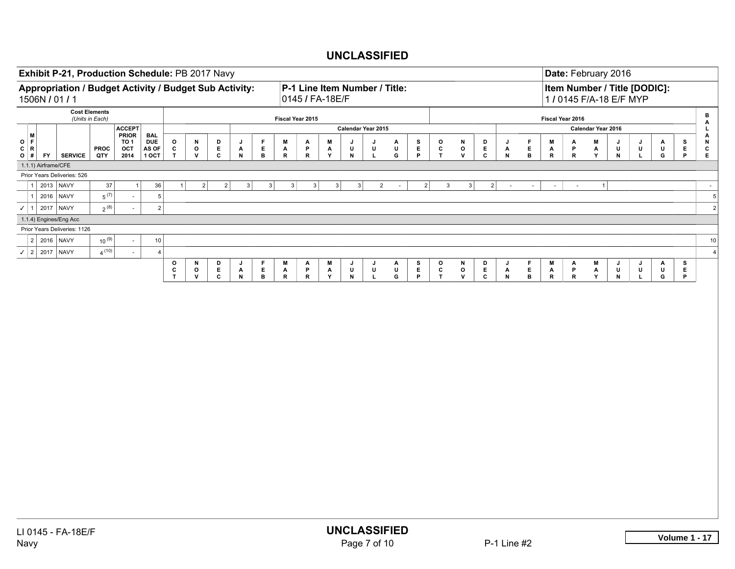|                                             | Exhibit P-21, Production Schedule: PB 2017 Navy<br>Appropriation / Budget Activity / Budget Sub Activity:<br>P-1 Line Item Number / Title: |                                         |                                                |                                            |                                    |                              |                    |   |                                           |                             |                  |                        |                                 |                |                    |             |   |              |                    |                                  |                |                           |                                 |                   |             | Date: February 2016      |                        |                        |               |                    |                                                         |              |                                           |                      |
|---------------------------------------------|--------------------------------------------------------------------------------------------------------------------------------------------|-----------------------------------------|------------------------------------------------|--------------------------------------------|------------------------------------|------------------------------|--------------------|---|-------------------------------------------|-----------------------------|------------------|------------------------|---------------------------------|----------------|--------------------|-------------|---|--------------|--------------------|----------------------------------|----------------|---------------------------|---------------------------------|-------------------|-------------|--------------------------|------------------------|------------------------|---------------|--------------------|---------------------------------------------------------|--------------|-------------------------------------------|----------------------|
| 1506N / 01 / 1                              |                                                                                                                                            |                                         |                                                |                                            |                                    |                              |                    |   |                                           |                             |                  | 0145 / FA-18E/F        |                                 |                |                    |             |   |              |                    |                                  |                |                           |                                 |                   |             |                          |                        |                        |               |                    | Item Number / Title [DODIC]:<br>1 / 0145 F/A-18 E/F MYP |              |                                           |                      |
|                                             |                                                                                                                                            | <b>Cost Elements</b><br>(Units in Each) |                                                |                                            |                                    |                              |                    |   |                                           |                             | Fiscal Year 2015 |                        |                                 |                |                    |             |   |              |                    |                                  |                |                           |                                 |                   |             |                          |                        | Fiscal Year 2016       |               |                    |                                                         |              | $\, {\bf B}$<br>$\blacktriangle$          |                      |
|                                             |                                                                                                                                            |                                         | <b>ACCEPT</b>                                  |                                            |                                    |                              |                    |   |                                           |                             |                  |                        |                                 |                | Calendar Year 2015 |             |   |              |                    |                                  |                |                           |                                 |                   |             |                          |                        |                        |               | Calendar Year 2016 |                                                         |              | L.                                        |                      |
| M<br>O F <br>C   R<br>$O$ #<br><b>FY</b>    | <b>SERVICE</b>                                                                                                                             | <b>PROC</b><br>QTY                      | <b>PRIOR</b><br>TO <sub>1</sub><br>OCT<br>2014 | <b>BAL</b><br><b>DUE</b><br>AS OF<br>1 OCT | $_{\rm c}^{\rm o}$<br>$\mathbf{T}$ | N<br>$\mathsf{o}$<br>v       | D<br>E<br>C        |   | J<br>Α<br>N                               | F<br>E.<br>$\mathbf{B}$     | M<br>A<br>R      | Α<br>P<br>$\mathsf{R}$ | M<br>Α<br>Y                     |                | U<br>N             | J<br>U<br>L |   | Α<br>U<br>G  | $\frac{S}{E}$<br>P | $\mathsf{o}$<br>$\mathbf c$<br>T |                | N<br>$\mathsf{o}$<br>v    | $\mathsf{P}_{\mathsf{E}}$<br>c  | J<br>Α<br>$\,$ N  | F<br>E<br>в |                          | М<br>A<br>$\mathsf{R}$ | Α<br>P<br>$\mathsf{R}$ | M<br>A<br>Y   | J<br>U<br>$\,$ N   | J<br>U<br>L.                                            | А<br>U<br>G  | $\lambda$<br>N<br>s<br>E.<br>c<br>P<br>Е. |                      |
| 1.1.1) Airframe/CFE                         |                                                                                                                                            |                                         |                                                |                                            |                                    |                              |                    |   |                                           |                             |                  |                        |                                 |                |                    |             |   |              |                    |                                  |                |                           |                                 |                   |             |                          |                        |                        |               |                    |                                                         |              |                                           |                      |
| Prior Years Deliveries: 526                 |                                                                                                                                            |                                         |                                                |                                            |                                    |                              |                    |   |                                           |                             |                  |                        |                                 |                |                    |             |   |              |                    |                                  |                |                           |                                 |                   |             |                          |                        |                        |               |                    |                                                         |              |                                           |                      |
| $\mathbf{1}$                                | 2013 NAVY                                                                                                                                  | 37                                      | $\mathbf{1}$                                   | 36                                         | $\mathbf{1}$                       |                              | 2                  | 2 | 3 <sup>2</sup>                            | 3                           | 3                |                        | 3 <sup>1</sup>                  | 3 <sup>1</sup> | 3                  |             | 2 | $\sim$       |                    | $\overline{2}$                   | 3 <sup>2</sup> | 3 <sup>2</sup>            | 2                               | $\sim$            |             | $\overline{\phantom{a}}$ | $\sim$                 | $\sim$                 |               | 1                  |                                                         |              | $\sim$                                    |                      |
| 1                                           | 2016 NAVY                                                                                                                                  | $5^{\,(7)}$                             | $\sim$                                         | $\,$ 5 $\,$                                |                                    |                              |                    |   |                                           |                             |                  |                        |                                 |                |                    |             |   |              |                    |                                  |                |                           |                                 |                   |             |                          |                        |                        |               |                    |                                                         |              |                                           | $\sqrt{5}$           |
| $\checkmark$ 1 2017 NAVY                    |                                                                                                                                            | $2^{(8)}$                               |                                                | $\mathbf 2$                                |                                    |                              |                    |   |                                           |                             |                  |                        |                                 |                |                    |             |   |              |                    |                                  |                |                           |                                 |                   |             |                          |                        |                        |               |                    |                                                         |              |                                           | $\sqrt{2}$           |
| 1.1.4) Engines/Eng Acc                      |                                                                                                                                            |                                         |                                                |                                            |                                    |                              |                    |   |                                           |                             |                  |                        |                                 |                |                    |             |   |              |                    |                                  |                |                           |                                 |                   |             |                          |                        |                        |               |                    |                                                         |              |                                           |                      |
| Prior Years Deliveries: 1126<br>2 2016 NAVY |                                                                                                                                            | $10^{(9)}$                              |                                                |                                            |                                    |                              |                    |   |                                           |                             |                  |                        |                                 |                |                    |             |   |              |                    |                                  |                |                           |                                 |                   |             |                          |                        |                        |               |                    |                                                         |              |                                           |                      |
| $\checkmark$ 2 2017 NAVY                    |                                                                                                                                            | $4^{(10)}$                              |                                                | 10<br>$\overline{4}$                       |                                    |                              |                    |   |                                           |                             |                  |                        |                                 |                |                    |             |   |              |                    |                                  |                |                           |                                 |                   |             |                          |                        |                        |               |                    |                                                         |              |                                           | 10<br>$\overline{4}$ |
|                                             |                                                                                                                                            |                                         |                                                |                                            | o                                  | N                            | D                  |   | J                                         | F                           | М                | Α                      | M                               |                | J                  | J           |   | $\mathbf{A}$ |                    | $\circ$                          |                | N                         | D                               | J                 | F           |                          | M                      | Α                      | M             | J                  | J                                                       | Α            | s                                         |                      |
|                                             |                                                                                                                                            |                                         |                                                |                                            | $\frac{c}{T}$                      | $\mathbf{o}$<br>$\mathsf{v}$ | $_{\rm c}^{\rm E}$ |   | $\mathop{\mathsf{A}}\limits_{\mathsf{N}}$ | $\mathsf E$<br>$\mathbf{B}$ | $\frac{A}{R}$    | $\frac{P}{R}$          | $\frac{\mathsf{A}}{\mathsf{Y}}$ |                | U<br>$\,$ N        | U<br>L      |   | U<br>G       | $\frac{S}{E}$<br>P | $\frac{c}{T}$                    |                | $\mathbf{o}$<br>${\bf v}$ | $\frac{\mathsf{E}}{\mathsf{C}}$ | $\mathsf{A}$<br>N | E.<br>в     |                          | $\mathsf{A}$<br>R      | $\frac{P}{R}$          | $\frac{A}{Y}$ | U<br>${\sf N}$     | $\mathop{\mathsf{L}}\limits^{\mathsf{U}}$               | $\sf U$<br>G | $\frac{E}{P}$                             |                      |
|                                             |                                                                                                                                            |                                         |                                                |                                            |                                    |                              |                    |   |                                           |                             |                  |                        |                                 |                |                    |             |   |              |                    |                                  |                |                           |                                 |                   |             |                          |                        |                        |               |                    |                                                         |              |                                           |                      |
|                                             |                                                                                                                                            |                                         |                                                |                                            |                                    |                              |                    |   |                                           |                             |                  |                        |                                 |                |                    |             |   |              |                    |                                  |                |                           |                                 |                   |             |                          |                        |                        |               |                    |                                                         |              |                                           |                      |
|                                             |                                                                                                                                            |                                         |                                                |                                            |                                    |                              |                    |   |                                           |                             |                  |                        |                                 |                |                    |             |   |              |                    |                                  |                |                           |                                 |                   |             |                          |                        |                        |               |                    |                                                         |              |                                           |                      |
|                                             |                                                                                                                                            |                                         |                                                |                                            |                                    |                              |                    |   |                                           |                             |                  |                        |                                 |                |                    |             |   |              |                    |                                  |                |                           |                                 |                   |             |                          |                        |                        |               |                    |                                                         |              |                                           |                      |
|                                             |                                                                                                                                            |                                         |                                                |                                            |                                    |                              |                    |   |                                           |                             |                  |                        |                                 |                |                    |             |   |              |                    |                                  |                |                           |                                 |                   |             |                          |                        |                        |               |                    |                                                         |              |                                           |                      |
|                                             |                                                                                                                                            |                                         |                                                |                                            |                                    |                              |                    |   |                                           |                             |                  |                        |                                 |                |                    |             |   |              |                    |                                  |                |                           |                                 |                   |             |                          |                        |                        |               |                    |                                                         |              |                                           |                      |
|                                             |                                                                                                                                            |                                         |                                                |                                            |                                    |                              |                    |   |                                           |                             |                  |                        |                                 |                |                    |             |   |              |                    |                                  |                |                           |                                 |                   |             |                          |                        |                        |               |                    |                                                         |              |                                           |                      |
|                                             |                                                                                                                                            |                                         |                                                |                                            |                                    |                              |                    |   |                                           |                             |                  |                        |                                 |                |                    |             |   |              |                    |                                  |                |                           |                                 |                   |             |                          |                        |                        |               |                    |                                                         |              |                                           |                      |
|                                             |                                                                                                                                            |                                         |                                                |                                            |                                    |                              |                    |   |                                           |                             |                  |                        |                                 |                |                    |             |   |              |                    |                                  |                |                           |                                 |                   |             |                          |                        |                        |               |                    |                                                         |              |                                           |                      |
|                                             |                                                                                                                                            |                                         |                                                |                                            |                                    |                              |                    |   |                                           |                             |                  |                        |                                 |                |                    |             |   |              |                    |                                  |                |                           |                                 |                   |             |                          |                        |                        |               |                    |                                                         |              |                                           |                      |
|                                             |                                                                                                                                            |                                         |                                                |                                            |                                    |                              |                    |   |                                           |                             |                  |                        |                                 |                |                    |             |   |              |                    |                                  |                |                           |                                 |                   |             |                          |                        |                        |               |                    |                                                         |              |                                           |                      |
|                                             |                                                                                                                                            |                                         |                                                |                                            |                                    |                              |                    |   |                                           |                             |                  |                        |                                 |                |                    |             |   |              |                    |                                  |                |                           |                                 |                   |             |                          |                        |                        |               |                    |                                                         |              |                                           |                      |
|                                             |                                                                                                                                            |                                         |                                                |                                            |                                    |                              |                    |   |                                           |                             |                  |                        |                                 |                |                    |             |   |              |                    |                                  |                |                           |                                 |                   |             |                          |                        |                        |               |                    |                                                         |              |                                           |                      |
|                                             |                                                                                                                                            |                                         |                                                |                                            |                                    |                              |                    |   |                                           |                             |                  |                        |                                 |                |                    |             |   |              |                    |                                  |                |                           |                                 |                   |             |                          |                        |                        |               |                    |                                                         |              |                                           |                      |
|                                             |                                                                                                                                            |                                         |                                                |                                            |                                    |                              |                    |   |                                           |                             |                  |                        |                                 |                |                    |             |   |              |                    |                                  |                |                           |                                 |                   |             |                          |                        |                        |               |                    |                                                         |              |                                           |                      |
|                                             |                                                                                                                                            |                                         |                                                |                                            |                                    |                              |                    |   |                                           |                             |                  |                        |                                 |                |                    |             |   |              |                    |                                  |                |                           |                                 |                   |             |                          |                        |                        |               |                    |                                                         |              |                                           |                      |
|                                             |                                                                                                                                            |                                         |                                                |                                            |                                    |                              |                    |   |                                           |                             |                  |                        |                                 |                |                    |             |   |              |                    |                                  |                |                           |                                 |                   |             |                          |                        |                        |               |                    |                                                         |              |                                           |                      |
|                                             |                                                                                                                                            |                                         |                                                |                                            |                                    |                              |                    |   |                                           |                             |                  |                        |                                 |                |                    |             |   |              |                    |                                  |                |                           |                                 |                   |             |                          |                        |                        |               |                    |                                                         |              |                                           |                      |
|                                             |                                                                                                                                            |                                         |                                                |                                            |                                    |                              |                    |   |                                           |                             |                  |                        |                                 |                |                    |             |   |              |                    |                                  |                |                           |                                 |                   |             |                          |                        |                        |               |                    |                                                         |              |                                           |                      |
|                                             |                                                                                                                                            |                                         |                                                |                                            |                                    |                              |                    |   |                                           |                             |                  |                        |                                 |                |                    |             |   |              |                    |                                  |                |                           |                                 |                   |             |                          |                        |                        |               |                    |                                                         |              |                                           |                      |
|                                             |                                                                                                                                            |                                         |                                                |                                            |                                    |                              |                    |   |                                           |                             |                  |                        |                                 |                |                    |             |   |              |                    |                                  |                |                           |                                 |                   |             |                          |                        |                        |               |                    |                                                         |              |                                           |                      |
|                                             |                                                                                                                                            |                                         |                                                |                                            |                                    |                              |                    |   |                                           |                             |                  |                        |                                 |                |                    |             |   |              |                    |                                  |                |                           |                                 |                   |             |                          |                        |                        |               |                    |                                                         |              |                                           |                      |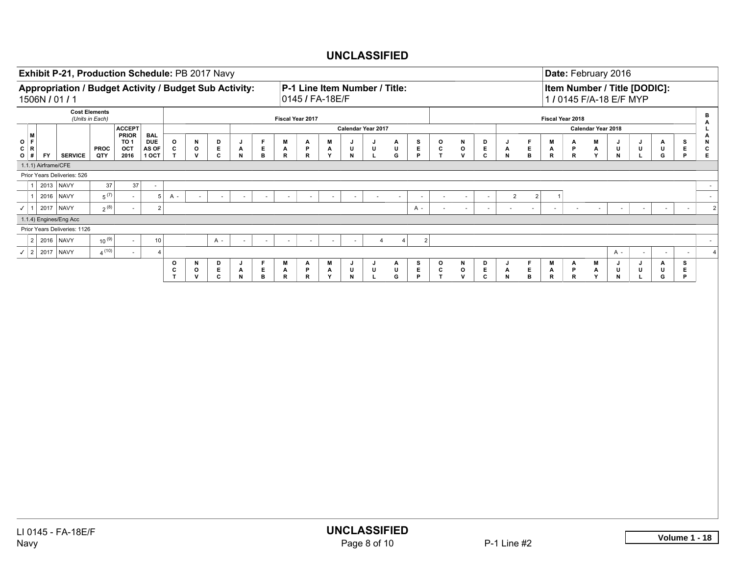| Exhibit P-21, Production Schedule: PB 2017 Navy                          |                |                                         |                                                |                                     |                                                                       |                                           |                         |                                       |                            |                                    |                                                  |                                      |                    |                       | Date: February 2016 |            |                                            |                          |                                                                       |                             |                        |                        |                                                         |                                      |             |             |             |                          |                                   |
|--------------------------------------------------------------------------|----------------|-----------------------------------------|------------------------------------------------|-------------------------------------|-----------------------------------------------------------------------|-------------------------------------------|-------------------------|---------------------------------------|----------------------------|------------------------------------|--------------------------------------------------|--------------------------------------|--------------------|-----------------------|---------------------|------------|--------------------------------------------|--------------------------|-----------------------------------------------------------------------|-----------------------------|------------------------|------------------------|---------------------------------------------------------|--------------------------------------|-------------|-------------|-------------|--------------------------|-----------------------------------|
| Appropriation / Budget Activity / Budget Sub Activity:<br>1506N / 01 / 1 |                |                                         |                                                |                                     |                                                                       |                                           |                         |                                       |                            |                                    | P-1 Line Item Number / Title:<br>0145 / FA-18E/F |                                      |                    |                       |                     |            |                                            |                          |                                                                       |                             |                        |                        | Item Number / Title [DODIC]:<br>1 / 0145 F/A-18 E/F MYP |                                      |             |             |             |                          |                                   |
|                                                                          |                | <b>Cost Elements</b><br>(Units in Each) |                                                |                                     |                                                                       |                                           |                         |                                       |                            |                                    | Fiscal Year 2017                                 |                                      |                    |                       |                     |            |                                            |                          |                                                                       |                             |                        |                        | Fiscal Year 2018                                        |                                      |             |             |             |                          | $\, {\bf B} \,$                   |
|                                                                          |                |                                         | <b>ACCEPT</b>                                  |                                     |                                                                       |                                           |                         |                                       |                            |                                    |                                                  |                                      | Calendar Year 2017 |                       |                     |            |                                            |                          |                                                                       |                             |                        |                        |                                                         | Calendar Year 2018                   |             |             |             |                          | A<br>L.                           |
| M<br>O   F<br>C   R  <br>$O$ #<br><b>FY</b>                              | <b>SERVICE</b> | <b>PROC</b><br>QTY                      | <b>PRIOR</b><br>TO <sub>1</sub><br>OCT<br>2016 | BAL<br><b>DUE</b><br>AS OF<br>1 OCT | $\begin{array}{c} \texttt{o} \\ \texttt{c} \\ \texttt{T} \end{array}$ | ${\sf N}$<br>$\mathsf{o}$<br>$\mathsf{v}$ | D<br>$_{\rm c}^{\rm E}$ | J<br>А<br>${\sf N}$                   | F<br>E.<br>$\, {\bf B} \,$ | M<br>$\mathbf{A}$<br>${\mathbf R}$ | $\mathsf{A}_{\mathsf{P}}$<br>$\mathbf R$         | M<br>$\mathbf{A}$<br>Y               | U<br>$\,$ N        | J<br>U<br>$\mathbf L$ | A<br>U<br>G         | E<br>P     | $\mathbf{o}$<br>$\mathbf c$<br>$\mathsf T$ | N<br>$\mathbf{o}$<br>v   | $\begin{array}{c} \mathsf{D} \\ \mathsf{E} \\ \mathsf{C} \end{array}$ | J<br>$\mathbf{A}$<br>$\,$ N | F<br>E<br>$\, {\bf B}$ | M<br>$\mathsf{A}$<br>R | Α<br>P<br>R                                             | M<br>$\frac{\mathsf{A}}{\mathsf{Y}}$ | J<br>U<br>N | J<br>U<br>L | A<br>U<br>G | $_{\rm E}^{\rm S}$<br>P  | Α<br>$\,$ N<br>$\mathbf{c}$<br>Е. |
| 1.1.1) Airframe/CFE                                                      |                |                                         |                                                |                                     |                                                                       |                                           |                         |                                       |                            |                                    |                                                  |                                      |                    |                       |                     |            |                                            |                          |                                                                       |                             |                        |                        |                                                         |                                      |             |             |             |                          |                                   |
| Prior Years Deliveries: 526                                              |                |                                         |                                                |                                     |                                                                       |                                           |                         |                                       |                            |                                    |                                                  |                                      |                    |                       |                     |            |                                            |                          |                                                                       |                             |                        |                        |                                                         |                                      |             |             |             |                          |                                   |
| $\mathbf{1}$                                                             | 2013 NAVY      | 37                                      | 37                                             | $\sim$                              |                                                                       |                                           |                         |                                       |                            |                                    |                                                  |                                      |                    |                       |                     |            |                                            |                          |                                                                       |                             |                        |                        |                                                         |                                      |             |             |             |                          | $\sim$                            |
| $1 \vert$                                                                | 2016 NAVY      | $5^{(7)}$                               | $\sim$                                         | 5 <sup>2</sup>                      | $A -$                                                                 |                                           | $\sim$                  | $\omega$                              | $\omega$                   | $\sim$                             | $\bar{a}$                                        | $\sim$                               | $\sim$             | $\sim$                | $\sim$              | $\sim$     | $\sim$                                     | $\overline{\phantom{a}}$ | $\sim$                                                                | 2                           | $\overline{2}$         | -1                     |                                                         |                                      |             |             |             |                          | $\sim$                            |
| $\checkmark$ 1 2017 NAVY                                                 |                | $2^{(8)}$                               | $\overline{\phantom{a}}$                       | 2                                   |                                                                       |                                           |                         |                                       |                            |                                    |                                                  |                                      |                    |                       |                     | A -        | $\sim$                                     | $\omega$                 | $\mathcal{L}_{\mathcal{A}}$                                           | $\sim$                      | $\mathbf{r}$           | $\sim$                 | $\overline{\phantom{a}}$                                | $\overline{\phantom{a}}$             | $\sim$      | $\sim$      | $\sim$      | $\overline{\phantom{a}}$ | $\overline{2}$                    |
| 1.1.4) Engines/Eng Acc                                                   |                |                                         |                                                |                                     |                                                                       |                                           |                         |                                       |                            |                                    |                                                  |                                      |                    |                       |                     |            |                                            |                          |                                                                       |                             |                        |                        |                                                         |                                      |             |             |             |                          |                                   |
| Prior Years Deliveries: 1126                                             |                |                                         |                                                |                                     |                                                                       |                                           |                         |                                       |                            |                                    |                                                  |                                      |                    |                       |                     |            |                                            |                          |                                                                       |                             |                        |                        |                                                         |                                      |             |             |             |                          |                                   |
| $2$ 2016 NAVY                                                            |                | $10^{(9)}$                              |                                                | 10                                  |                                                                       |                                           | $A -$                   | $\overline{\phantom{a}}$              | $\overline{\phantom{a}}$   | $\sim$                             | $\overline{\phantom{a}}$                         | $\sim$                               | $\sim$             | 4                     | 4                   | $\sqrt{2}$ |                                            |                          |                                                                       |                             |                        |                        |                                                         |                                      |             |             |             |                          | $\sim$                            |
| $\checkmark$ 2 2017 NAVY                                                 |                | $4^{(10)}$                              |                                                | $\vert$ 4                           |                                                                       |                                           |                         |                                       |                            |                                    |                                                  |                                      |                    |                       |                     |            |                                            |                          |                                                                       |                             |                        |                        |                                                         |                                      | A -         |             |             | $\overline{\phantom{a}}$ | $\overline{4}$                    |
|                                                                          |                |                                         |                                                |                                     | o<br>$\frac{c}{T}$                                                    | N<br>$\mathsf{o}$                         | D<br>Е.                 | J<br>$\mathop{N}\limits^{\mathbf{A}}$ | F<br>$E_{\perp}$           | М<br>$\mathsf{A}$<br>R             | Α<br>$\frac{P}{R}$                               | M<br>$\frac{\mathsf{A}}{\mathsf{Y}}$ | J<br>U             | J<br>U                | Α<br>$\sf U$        | s<br>Е.    | o<br>$\frac{c}{T}$                         | N<br>$\mathsf{o}$        | D<br>$\frac{\mathsf{E}}{\mathsf{C}}$                                  | J<br>$\mathsf{A}$<br>N      | F<br>E.                | M<br>$\mathsf{A}$<br>R | Α<br>P                                                  | M<br>$\frac{\mathsf{A}}{\mathsf{Y}}$ | J<br>U      | J<br>u<br>L | A<br>U      | s<br>E<br>P              |                                   |
|                                                                          |                |                                         |                                                |                                     |                                                                       | ${\mathsf v}$                             | $\mathbf{c}$            |                                       | $\mathbf{B}$               |                                    |                                                  |                                      | $\,$ N $\,$        | $\mathbf L$           | G                   | P          |                                            | ${\bf v}$                |                                                                       |                             | $\, {\bf B} \,$        |                        | $\mathsf R$                                             |                                      | $\mathsf N$ |             | G           |                          |                                   |
|                                                                          |                |                                         |                                                |                                     |                                                                       |                                           |                         |                                       |                            |                                    |                                                  |                                      |                    |                       |                     |            |                                            |                          |                                                                       |                             |                        |                        |                                                         |                                      |             |             |             |                          |                                   |
|                                                                          |                |                                         |                                                |                                     |                                                                       |                                           |                         |                                       |                            |                                    |                                                  |                                      |                    |                       |                     |            |                                            |                          |                                                                       |                             |                        |                        |                                                         |                                      |             |             |             |                          |                                   |
|                                                                          |                |                                         |                                                |                                     |                                                                       |                                           |                         |                                       |                            |                                    |                                                  |                                      |                    |                       |                     |            |                                            |                          |                                                                       |                             |                        |                        |                                                         |                                      |             |             |             |                          |                                   |
|                                                                          |                |                                         |                                                |                                     |                                                                       |                                           |                         |                                       |                            |                                    |                                                  |                                      |                    |                       |                     |            |                                            |                          |                                                                       |                             |                        |                        |                                                         |                                      |             |             |             |                          |                                   |
|                                                                          |                |                                         |                                                |                                     |                                                                       |                                           |                         |                                       |                            |                                    |                                                  |                                      |                    |                       |                     |            |                                            |                          |                                                                       |                             |                        |                        |                                                         |                                      |             |             |             |                          |                                   |
|                                                                          |                |                                         |                                                |                                     |                                                                       |                                           |                         |                                       |                            |                                    |                                                  |                                      |                    |                       |                     |            |                                            |                          |                                                                       |                             |                        |                        |                                                         |                                      |             |             |             |                          |                                   |
|                                                                          |                |                                         |                                                |                                     |                                                                       |                                           |                         |                                       |                            |                                    |                                                  |                                      |                    |                       |                     |            |                                            |                          |                                                                       |                             |                        |                        |                                                         |                                      |             |             |             |                          |                                   |
|                                                                          |                |                                         |                                                |                                     |                                                                       |                                           |                         |                                       |                            |                                    |                                                  |                                      |                    |                       |                     |            |                                            |                          |                                                                       |                             |                        |                        |                                                         |                                      |             |             |             |                          |                                   |
|                                                                          |                |                                         |                                                |                                     |                                                                       |                                           |                         |                                       |                            |                                    |                                                  |                                      |                    |                       |                     |            |                                            |                          |                                                                       |                             |                        |                        |                                                         |                                      |             |             |             |                          |                                   |
|                                                                          |                |                                         |                                                |                                     |                                                                       |                                           |                         |                                       |                            |                                    |                                                  |                                      |                    |                       |                     |            |                                            |                          |                                                                       |                             |                        |                        |                                                         |                                      |             |             |             |                          |                                   |
|                                                                          |                |                                         |                                                |                                     |                                                                       |                                           |                         |                                       |                            |                                    |                                                  |                                      |                    |                       |                     |            |                                            |                          |                                                                       |                             |                        |                        |                                                         |                                      |             |             |             |                          |                                   |
|                                                                          |                |                                         |                                                |                                     |                                                                       |                                           |                         |                                       |                            |                                    |                                                  |                                      |                    |                       |                     |            |                                            |                          |                                                                       |                             |                        |                        |                                                         |                                      |             |             |             |                          |                                   |
|                                                                          |                |                                         |                                                |                                     |                                                                       |                                           |                         |                                       |                            |                                    |                                                  |                                      |                    |                       |                     |            |                                            |                          |                                                                       |                             |                        |                        |                                                         |                                      |             |             |             |                          |                                   |
|                                                                          |                |                                         |                                                |                                     |                                                                       |                                           |                         |                                       |                            |                                    |                                                  |                                      |                    |                       |                     |            |                                            |                          |                                                                       |                             |                        |                        |                                                         |                                      |             |             |             |                          |                                   |
|                                                                          |                |                                         |                                                |                                     |                                                                       |                                           |                         |                                       |                            |                                    |                                                  |                                      |                    |                       |                     |            |                                            |                          |                                                                       |                             |                        |                        |                                                         |                                      |             |             |             |                          |                                   |
|                                                                          |                |                                         |                                                |                                     |                                                                       |                                           |                         |                                       |                            |                                    |                                                  |                                      |                    |                       |                     |            |                                            |                          |                                                                       |                             |                        |                        |                                                         |                                      |             |             |             |                          |                                   |
|                                                                          |                |                                         |                                                |                                     |                                                                       |                                           |                         |                                       |                            |                                    |                                                  |                                      |                    |                       |                     |            |                                            |                          |                                                                       |                             |                        |                        |                                                         |                                      |             |             |             |                          |                                   |
|                                                                          |                |                                         |                                                |                                     |                                                                       |                                           |                         |                                       |                            |                                    |                                                  |                                      |                    |                       |                     |            |                                            |                          |                                                                       |                             |                        |                        |                                                         |                                      |             |             |             |                          |                                   |
|                                                                          |                |                                         |                                                |                                     |                                                                       |                                           |                         |                                       |                            |                                    |                                                  |                                      |                    |                       |                     |            |                                            |                          |                                                                       |                             |                        |                        |                                                         |                                      |             |             |             |                          |                                   |
|                                                                          |                |                                         |                                                |                                     |                                                                       |                                           |                         |                                       |                            |                                    |                                                  |                                      |                    |                       |                     |            |                                            |                          |                                                                       |                             |                        |                        |                                                         |                                      |             |             |             |                          |                                   |
|                                                                          |                |                                         |                                                |                                     |                                                                       |                                           |                         |                                       |                            |                                    |                                                  |                                      |                    |                       |                     |            |                                            |                          |                                                                       |                             |                        |                        |                                                         |                                      |             |             |             |                          |                                   |
|                                                                          |                |                                         |                                                |                                     |                                                                       |                                           |                         |                                       |                            |                                    |                                                  |                                      |                    |                       |                     |            |                                            |                          |                                                                       |                             |                        |                        |                                                         |                                      |             |             |             |                          |                                   |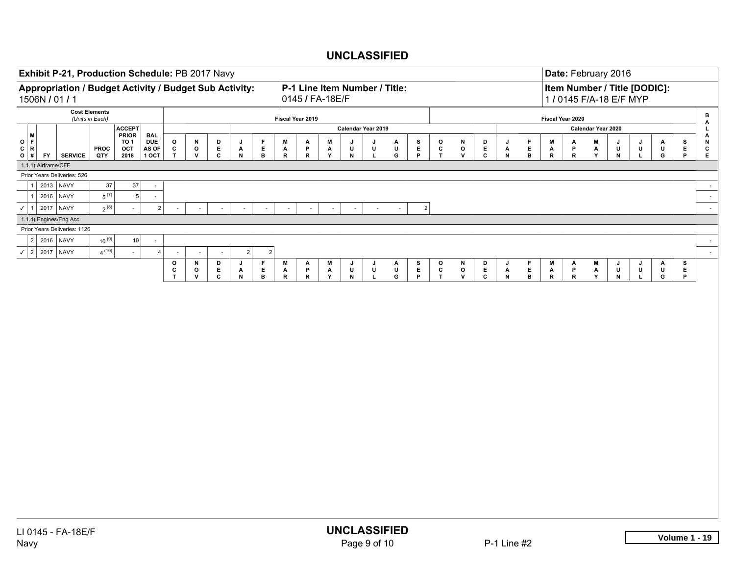| Exhibit P-21, Production Schedule: PB 2017 Navy                          |                 |                      |                               |                              |                                   |                                   |                         |                                           |                               |                        |                             |                    |                               |                       |                   |                       |                        |                                    |                         |                                                              |                          |                        |                        |                                      | Date: February 2016                                     |                        |                   |                    |                                       |
|--------------------------------------------------------------------------|-----------------|----------------------|-------------------------------|------------------------------|-----------------------------------|-----------------------------------|-------------------------|-------------------------------------------|-------------------------------|------------------------|-----------------------------|--------------------|-------------------------------|-----------------------|-------------------|-----------------------|------------------------|------------------------------------|-------------------------|--------------------------------------------------------------|--------------------------|------------------------|------------------------|--------------------------------------|---------------------------------------------------------|------------------------|-------------------|--------------------|---------------------------------------|
| Appropriation / Budget Activity / Budget Sub Activity:<br>1506N / 01 / 1 |                 |                      |                               |                              |                                   |                                   |                         |                                           |                               |                        | 0145 / FA-18E/F             |                    | P-1 Line Item Number / Title: |                       |                   |                       |                        |                                    |                         |                                                              |                          |                        |                        |                                      | Item Number / Title [DODIC]:<br>1 / 0145 F/A-18 E/F MYP |                        |                   |                    |                                       |
|                                                                          | (Units in Each) | <b>Cost Elements</b> |                               |                              |                                   |                                   |                         |                                           |                               |                        | Fiscal Year 2019            |                    |                               |                       |                   |                       |                        |                                    |                         |                                                              |                          |                        | Fiscal Year 2020       |                                      |                                                         |                        |                   |                    | $\, {\bf B}$<br>A                     |
| i M                                                                      |                 |                      | <b>ACCEPT</b><br><b>PRIOR</b> | BAL                          |                                   |                                   |                         |                                           |                               |                        |                             |                    | Calendar Year 2019            |                       |                   |                       |                        |                                    |                         |                                                              |                          |                        |                        | Calendar Year 2020                   |                                                         |                        |                   |                    | L                                     |
| O   F<br>C   R<br><b>FY</b><br>$O$ #                                     | <b>SERVICE</b>  | <b>PROC</b><br>QTY   | TO 1<br>OCT<br>2018           | <b>DUE</b><br>AS OF<br>1 OCT | $\mathsf{o}$<br>$\mathbf{c}$<br>T | N<br>$\mathbf{o}$<br>$\mathbf{v}$ | D<br>E.<br>$\mathbf{c}$ | J<br>Α<br>${\sf N}$                       | F.<br>Е.<br>в                 | M<br>$\mathbf{A}$<br>R | Α<br>P<br>$\mathsf{R}$      | M<br>A<br>Y        | U<br>N                        | J<br>U<br>L           | Α<br>U<br>G       | s<br>$\mathsf E$<br>P | o<br>c<br>$\mathbf{T}$ | N<br>$\mathsf{o}$<br>${\mathsf v}$ | D<br>E.<br>c            | J<br>A<br>$\mathsf N$                                        | F.<br>E<br>В             | M<br>Α<br>$\mathbf R$  | А<br>P<br>$\mathsf{R}$ | M<br>A<br>Y                          | J<br>U<br>N                                             | J<br>U<br>$\mathbf{L}$ | A<br>U<br>G       | s<br>E.<br>P       | A<br>N<br>$\mathbf{c}$<br>$\mathsf E$ |
| 1.1.1) Airframe/CFE                                                      |                 |                      |                               |                              |                                   |                                   |                         |                                           |                               |                        |                             |                    |                               |                       |                   |                       |                        |                                    |                         |                                                              |                          |                        |                        |                                      |                                                         |                        |                   |                    |                                       |
| Prior Years Deliveries: 526                                              |                 |                      |                               |                              |                                   |                                   |                         |                                           |                               |                        |                             |                    |                               |                       |                   |                       |                        |                                    |                         |                                                              |                          |                        |                        |                                      |                                                         |                        |                   |                    |                                       |
| $\overline{\mathbf{1}}$                                                  | 2013 NAVY       | $37\,$               | $37\,$                        | $\blacksquare$               |                                   |                                   |                         |                                           |                               |                        |                             |                    |                               |                       |                   |                       |                        |                                    |                         |                                                              |                          |                        |                        |                                      |                                                         |                        |                   |                    | $\sim$                                |
| l 1                                                                      | 2016 NAVY       | $5^{(7)}$            | 5 <sup>5</sup>                | $\omega$                     |                                   |                                   |                         |                                           |                               |                        |                             |                    |                               |                       |                   |                       |                        |                                    |                         |                                                              |                          |                        |                        |                                      |                                                         |                        |                   |                    | $\sim$                                |
| $\checkmark$ 1                                                           | 2017   NAVY     | $2^{(8)}$            | $\sim$                        | 2                            | $\sim$                            | $\sim$                            | $\sim$                  | $\sim$                                    | $\sim$                        | $\sim$                 | $\mathcal{L}_{\mathcal{A}}$ | $\sim$             | $\sim$                        | $\sim$                | $\omega$          |                       | 2                      |                                    |                         |                                                              |                          |                        |                        |                                      |                                                         |                        |                   |                    | $\sim$                                |
| 1.1.4) Engines/Eng Acc                                                   |                 |                      |                               |                              |                                   |                                   |                         |                                           |                               |                        |                             |                    |                               |                       |                   |                       |                        |                                    |                         |                                                              |                          |                        |                        |                                      |                                                         |                        |                   |                    |                                       |
| Prior Years Deliveries: 1126                                             |                 |                      |                               |                              |                                   |                                   |                         |                                           |                               |                        |                             |                    |                               |                       |                   |                       |                        |                                    |                         |                                                              |                          |                        |                        |                                      |                                                         |                        |                   |                    |                                       |
| $\overline{2}$                                                           | 2016   NAVY     | $10^{(9)}$           | 10                            | $\blacksquare$               |                                   |                                   |                         |                                           |                               |                        |                             |                    |                               |                       |                   |                       |                        |                                    |                         |                                                              |                          |                        |                        |                                      |                                                         |                        |                   |                    | $\sim$                                |
| $\checkmark$   2                                                         | 2017 NAVY       | $4^{(10)}$           | $\overline{\phantom{a}}$      | $\overline{4}$               | $\overline{\phantom{a}}$          | $\boldsymbol{\mathsf{N}}$         |                         | 2<br>J                                    | $\overline{2}$<br>$\mathsf F$ | M                      |                             |                    |                               |                       |                   |                       |                        |                                    |                         |                                                              |                          |                        |                        |                                      |                                                         |                        |                   |                    | $\sim$                                |
|                                                                          |                 |                      |                               |                              | $\mathbf{o}$<br>$\frac{c}{T}$     | $\mathbf{o}$<br>$\mathsf{v}$      | D<br>$_{\rm c}^{\rm E}$ | $\mathop{\mathsf{A}}\limits_{\mathsf{N}}$ | $_{\rm B}^{\rm E}$            | $\mathsf{A}$<br>R      | Α<br>$\frac{P}{R}$          | M<br>$\frac{A}{Y}$ | J<br>U<br>${\sf N}$           | J<br>U<br>$\mathbf L$ | Α<br>$\sf U$<br>G | $\frac{S}{P}$         | o<br>$\frac{c}{T}$     | N<br>$\mathbf{o}$<br>$\mathbf{v}$  | D<br>$_{\rm c}^{\rm E}$ | J<br>$\begin{array}{c} \mathsf{A} \\ \mathsf{N} \end{array}$ | F.<br>E.<br>$\mathbf{B}$ | M<br>$\mathsf{A}$<br>R | Α<br>P<br>$\mathbf R$  | M<br>$\frac{\mathsf{A}}{\mathsf{Y}}$ | J<br>U<br>$\mathbf N$                                   | J<br>U<br>$\mathbf L$  | А<br>$\sf U$<br>G | s<br>$\frac{E}{P}$ |                                       |
|                                                                          |                 |                      |                               |                              |                                   |                                   |                         |                                           |                               |                        |                             |                    |                               |                       |                   |                       |                        |                                    |                         |                                                              |                          |                        |                        |                                      |                                                         |                        |                   |                    |                                       |